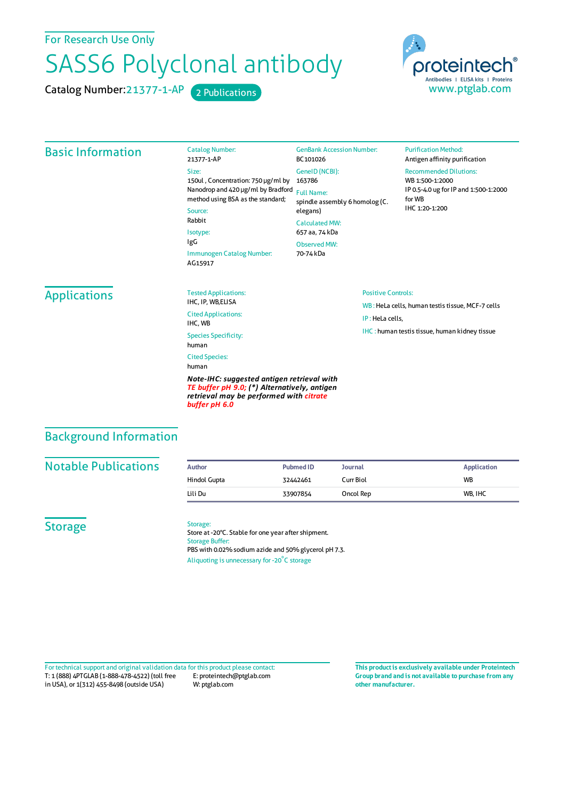For Research Use Only

## SASS6 Polyclonal antibody

Catalog Number: 21377-1-AP 2 Publications



## Basic Information Catalog Number: 21377-1-AP Size: 150ul , Concentration: 750 μg/ml by 163786 Nanodrop and 420 μg/ml by Bradford Full Name: method using BSA as the standard; Source: Rabbit Isotype: IgG Immunogen Catalog Number: AG15917 GenBank Accession Number: BC101026 GeneID(NCBI): spindle assembly 6 homolog (C. elegans) CalculatedMW: 657 aa, 74 kDa ObservedMW: 70-74 kDa **Purification Method:** Antigen affinity purification Recommended Dilutions: WB 1:500-1:2000 IP 0.5-4.0 ug forIP and 1:500-1:2000 forWB IHC 1:20-1:200 Applications Tested Applications: IHC, IP, WB,ELISA Cited Applications: IHC, WB Species Specificity: human Cited Species: human *Note-IHC: suggested antigen retrieval with TE buffer pH 9.0; (\*) Alternatively, antigen retrieval may be performed with citrate buffer pH 6.0* Positive Controls: WB : HeLa cells, human testis tissue, MCF-7 cells IP : HeLa cells, IHC : human testis tissue, human kidney tissue Background Information

| <b>Notable Publications</b> |  |  |  |
|-----------------------------|--|--|--|
|                             |  |  |  |

| <b>Notable Publications</b> | <b>Author</b> | <b>Pubmed ID</b> | Journal   | <b>Application</b> |
|-----------------------------|---------------|------------------|-----------|--------------------|
|                             | Hindol Gupta  | 32442461         | Curr Biol | <b>WB</b>          |
|                             | Lili Du       | 33907854         | Oncol Rep | WB, IHC            |

**Storage** 

## Storage:

Store at -20°C. Stable for one year after shipment. Storage Buffer: PBS with 0.02% sodium azide and 50% glycerol pH 7.3. Aliquoting is unnecessary for -20<sup>°</sup>C storage

T: 1 (888) 4PTGLAB (1-888-478-4522) (toll free in USA), or 1(312) 455-8498 (outside USA) E: proteintech@ptglab.com W: ptglab.com Fortechnical support and original validation data forthis product please contact: **This productis exclusively available under Proteintech**

**Group brand and is not available to purchase from any other manufacturer.**